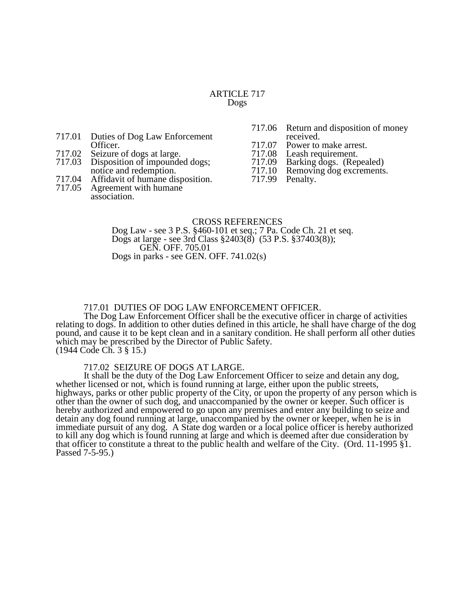## ARTICLE 717 Dogs

- 717.01 Duties of Dog Law Enforcement Officer.
- 717.02 Seizure of dogs at large.
- Disposition of impounded dogs; notice and redemption.
- 717.04 Affidavit of humane disposition.
- Agreement with humane association.
- 717.06 Return and disposition of money received.
- 
- 717.07 Power to make arrest.<br>717.08 Leash requirement.
- 717.08 Leash requirement.<br>717.09 Barking dogs. (Rep
- 717.09 Barking dogs. (Repealed) Removing dog excrements.<br>Penalty.
- 717.99

# CROSS REFERENCES

Dog Law - see 3 P.S. §460-101 et seq.; 7 Pa. Code Ch. 21 et seq. Dogs at large - see 3rd Class §2403(8) (53 P.S. §37403(8)); GEN. OFF. 705.01 Dogs in parks - see GEN. OFF. 741.02(s)

# 717.01 DUTIES OF DOG LAW ENFORCEMENT OFFICER.

The Dog Law Enforcement Officer shall be the executive officer in charge of activities relating to dogs. In addition to other duties defined in this article, he shall have charge of the dog pound, and cause it to be kept clean and in a sanitary condition. He shall perform all other duties which may be prescribed by the Director of Public Safety. (1944 Code Ch. 3 § 15.)

## 717.02 SEIZURE OF DOGS AT LARGE.

It shall be the duty of the Dog Law Enforcement Officer to seize and detain any dog, whether licensed or not, which is found running at large, either upon the public streets, highways, parks or other public property of the City, or upon the property of any person which is other than the owner of such dog, and unaccompanied by the owner or keeper. Such officer is hereby authorized and empowered to go upon any premises and enter any building to seize and detain any dog found running at large, unaccompanied by the owner or keeper, when he is in immediate pursuit of any dog. A State dog warden or a local police officer is hereby authorized to kill any dog which is found running at large and which is deemed after due consideration by that officer to constitute a threat to the public health and welfare of the City. (Ord. 11-1995 §1. Passed 7-5-95.)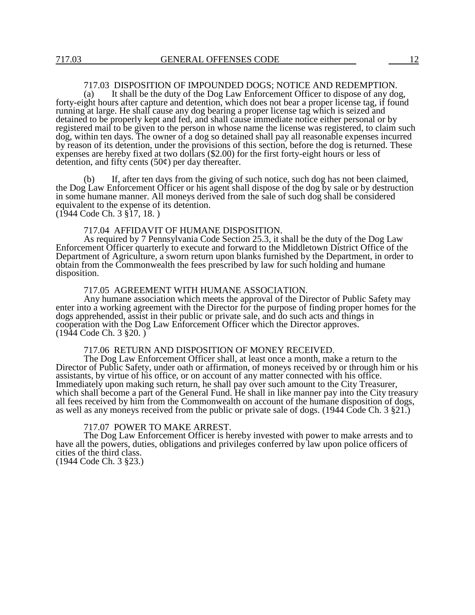# 717.03 DISPOSITION OF IMPOUNDED DOGS; NOTICE AND REDEMPTION.

(a) It shall be the duty of the Dog Law Enforcement Officer to dispose of any dog, forty-eight hours after capture and detention, which does not bear a proper license tag, if found running at large. He shall cause any dog bearing a proper license tag which is seized and detained to be properly kept and fed, and shall cause immediate notice either personal or by registered mail to be given to the person in whose name the license was registered, to claim such dog, within ten days. The owner of a dog so detained shall pay all reasonable expenses incurred by reason of its detention, under the provisions of this section, before the dog is returned. These expenses are hereby fixed at two dollars (\$2.00) for the first forty-eight hours or less of detention, and fifty cents  $(50¢)$  per day thereafter.

(b) If, after ten days from the giving of such notice, such dog has not been claimed, the Dog Law Enforcement Officer or his agent shall dispose of the dog by sale or by destruction in some humane manner. All moneys derived from the sale of such dog shall be considered equivalent to the expense of its detention. (1944 Code Ch. 3 §17, 18. )

717.04 AFFIDAVIT OF HUMANE DISPOSITION.

As required by 7 Pennsylvania Code Section 25.3, it shall be the duty of the Dog Law Enforcement Officer quarterly to execute and forward to the Middletown District Office of the Department of Agriculture, a sworn return upon blanks furnished by the Department, in order to obtain from the Commonwealth the fees prescribed by law for such holding and humane disposition.

717.05 AGREEMENT WITH HUMANE ASSOCIATION.

Any humane association which meets the approval of the Director of Public Safety may enter into a working agreement with the Director for the purpose of finding proper homes for the dogs apprehended, assist in their public or private sale, and do such acts and things in cooperation with the Dog Law Enforcement Officer which the Director approves. (1944 Code Ch. 3 §20. )

717.06 RETURN AND DISPOSITION OF MONEY RECEIVED.

The Dog Law Enforcement Officer shall, at least once a month, make a return to the Director of Public Safety, under oath or affirmation, of moneys received by or through him or his assistants, by virtue of his office, or on account of any matter connected with his office. Immediately upon making such return, he shall pay over such amount to the City Treasurer, which shall become a part of the General Fund. He shall in like manner pay into the City treasury all fees received by him from the Commonwealth on account of the humane disposition of dogs, as well as any moneys received from the public or private sale of dogs. (1944 Code Ch. 3 §21.)

#### 717.07 POWER TO MAKE ARREST.

The Dog Law Enforcement Officer is hereby invested with power to make arrests and to have all the powers, duties, obligations and privileges conferred by law upon police officers of cities of the third class. (1944 Code Ch. 3 §23.)